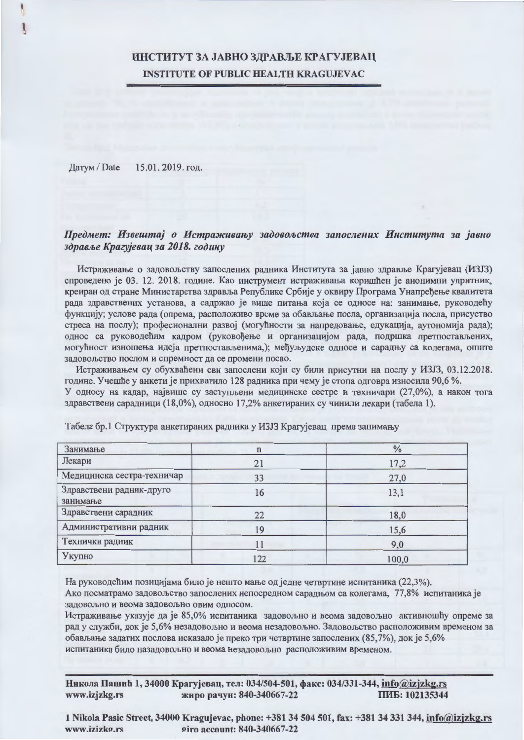# ИНСТИТУТ ЗА ЈАВНО ЗДРАВЉЕ КРАГУЈЕВАЦ **INSTITUTE OF PUBLIC HEALTH KRAGUJEVAC**

15.01.2019. год. Датум / Date

## Предмет: Извештај о Истраживању задовољства запослених Института за јавно здравље Крагујевац за 2018. годину

Истраживање о задовољству запослених радника Института за јавно здравље Крагујевац (ИЗЈЗ) спроведено је 03. 12. 2018. године. Као инструмент истраживања коришћен је анонимни упритник, креиран од стране Министарства здравља Републике Србије у оквиру Програма Унапређење квалитета рада здравствених установа, а садржао је више питања која се односе на: занимање, руководећу функцију; услове рада (опрема, расположиво време за обављање посла, организација посла, присуство стреса на послу); професионални развој (могућности за напредовање, едукација, аутономија рада); однос са руководећим кадром (руковођење и организацијом рада, подршка претпостављених, могућност изношења идеја претпостављенима,); међуљудске односе и сарадњу са колегама, опште задовољство послом и спремност да се промени посао.

Истраживањем су обухваћени сви запослени који су били присутни на послу у ИЗЈЗ, 03.12.2018. године. Учешће у анкети је прихватило 128 радника при чему је стопа одговра износила 90,6 %. У односу на кадар, највише су заступљени медицинске сестре и техничари (27,0%), а након тога здравствени сарадници (18,0%), односно 17,2% анкетираних су чинили лекари (табела 1).

| Занимање                             | n   | $\frac{0}{0}$ |
|--------------------------------------|-----|---------------|
| Лекари                               | 21  | 17,2          |
| Медицинска сестра-техничар           | 33  | 27,0          |
| Здравствени радник-друго<br>занимање | 16  | 13,1          |
| Здравствени сарадник                 | 22  | 18,0          |
| Административни радник               | 19  | 15,6          |
| Технички радник                      |     | 9,0           |
| Укупно                               | 122 | 100,0         |

Табела бр.1 Структура анкетираних радника у ИЗЈЗ Крагујевац према занимању

На руководећим позицијама било је нешто мање од једне четвртине испитаника (22,3%).

Ако посматрамо задовољство запослених непосредном сарадњом са колегама, 77,8% испитаника је задовољно и веома задовољно овим односом.

Истраживање указује да је 85,0% испитаника задовољно и веома задовољно активношћу опреме за рад у служби, док је 5,6% незадовољно и веома незадовољно. Задовољство расположивим временом за обављање задатих послова исказало је преко три четвртине запослених (85,7%), док је 5,6% испитаника било назадовољно и веома незадовољно расположивим временом.

Никола Пашић 1, 34000 Крагујевац, тел: 034/504-501, факс: 034/331-344, info@izjzkg.rs www.izjzkg.rs жиро рачун: 840-340667-22 ПИБ: 102135344

1 Nikola Pasic Street, 34000 Kragujevac, phone: +381 34 504 501, fax: +381 34 331 344, info@izizkg.rs giro account: 840-340667-22 www.izizko.rs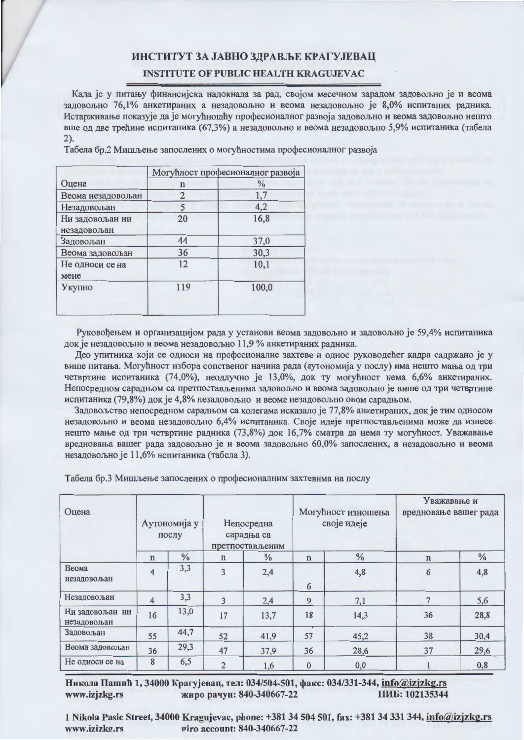#### ИНСТИТУТ ЗА ЈАВНО ЗДРАВЉЕ КРАГУЈЕВАЦ

### **INSTITUTE OF PUBLIC HEALTH KRAGUJEVAC**

Када је у питању финансијска надокнада за рад, својом месечном зарадом задовољно је и веома задовољно 76,1% анкетираних а незадовољно и веома незадовољно је 8,0% испитаних радника. Истарживање показује да је могућношћу професионалног развоја задовољно и веома задовољно нешто вше од две трећине испитаника (67,3%) а незадовољно и веома незадовољно 5,9% испитаника (табела  $2$ ).

Табела бр.2 Мишљење запослених о могућностима професионалног развоја

|                   | Могућност професионалног развоја |       |  |
|-------------------|----------------------------------|-------|--|
| Оцена             | n                                | $\%$  |  |
| Веома незадовољан | 2                                | 1,7   |  |
| Незадовољан       |                                  | 4,2   |  |
| Ни задовољан ни   | 20                               | 16,8  |  |
| незадовољан       |                                  |       |  |
| Задовољан         | 44                               | 37,0  |  |
| Веома задовољан   | 36                               | 30,3  |  |
| Не односи се на   | 12                               | 10,1  |  |
| мене              |                                  |       |  |
| Укупно            | 119                              | 100,0 |  |
|                   |                                  |       |  |
|                   |                                  |       |  |

Руковођењем и организацијом рада у установи веома задовољно и задовољно је 59,4% испитаника док је незадовољно и веома незадовољно 11,9 % анкетираних радника.

Део упитника који се односи на професионалне захтеве и однос руководећег кадра садржано је у више питања. Могућност избора сопственог начина рада (аутономија у послу) има нешто мања од три четвртине испитаника (74,0%), неодлучно је 13,0%, док ту могућност нема 6,6% анкетираних. Непосредном сарадњом са претпостављенима задовољно и веома задовољно је више од три четвртине испитаника (79,8%) док је 4,8% незадовољно и веома незадовољно овом сарадњом.

Задовољство непосредном сарадњом са колегама исказало је 77,8% анкетираних, док је тим односом незадовољно и веома незадовољно 6,4% испитаника. Своје идеје претпостављенима може да изнесе нешто мање од три четвртине радника (73,8%) док 16,7% сматра да нема ту могућност. Уважавање вредновања вашег рада задовољно је и веома задовољно 60,0% запослених, а незадовољно и веома незадовољно је 11,6% испитаника (табела 3).

| Оцена                          |                | Аутономија у<br>послу |                | Непосредна<br>сарадња са<br>претпостављеним |              | Могућност изношења<br>своје идеје |             | Уважавање и<br>вредновање вашег рада |  |
|--------------------------------|----------------|-----------------------|----------------|---------------------------------------------|--------------|-----------------------------------|-------------|--------------------------------------|--|
|                                | $\mathbf n$    | $\frac{0}{0}$         | $\mathbf n$    | $\frac{0}{0}$                               | $\mathbf n$  | $\%$                              | $\mathbf n$ | $\frac{0}{0}$                        |  |
| Веома<br>незадовољан           | $\overline{4}$ | 3,3                   | 3              | 2,4                                         | 6            | 4,8                               | 6           | 4,8                                  |  |
| Незадовољан                    | 4              | 3,3                   | 3              | 2,4                                         | 9            | 7,1                               |             | 5,6                                  |  |
| Ни задовољан ни<br>незадовољан | 16             | 13,0                  | 17             | 13,7                                        | 18           | 14,3                              | 36          | 28,8                                 |  |
| Задовољан                      | 55             | 44,7                  | 52             | 41,9                                        | 57           | 45,2                              | 38          | 30,4                                 |  |
| Веома задовољан                | 36             | 29,3                  | 47             | 37,9                                        | 36           | 28,6                              | 37          | 29,6                                 |  |
| Не односи се на                | 8              | 6,5                   | $\overline{2}$ | 1,6                                         | $\mathbf{0}$ | 0,0                               |             | 0,8                                  |  |

Табела бр.3 Мишљење запослених о професионалним захтевима на послу

Никола Пашић 1, 34000 Крагујевац, тел: 034/504-501, факс: 034/331-344, info@izjzkg.rs жиро рачун: 840-340667-22 ПИБ: 102135344 www.izjzkg.rs

1 Nikola Pasic Street, 34000 Kragujevac, phone: +381 34 504 501, fax: +381 34 331 344, info@izjzkg.rs www.izizkg.rs giro account: 840-340667-22